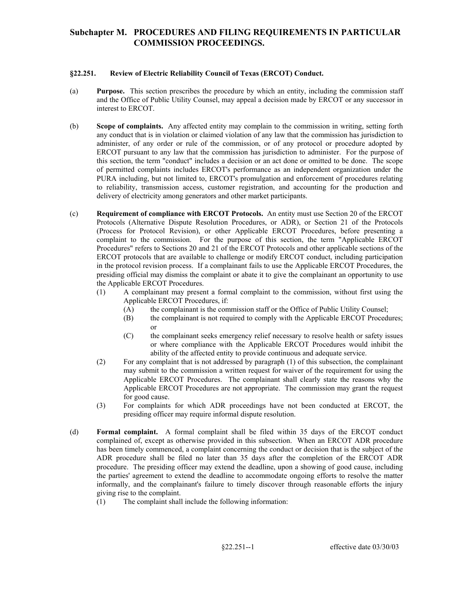#### **§22.251. Review of Electric Reliability Council of Texas (ERCOT) Conduct.**

- (a) **Purpose.** This section prescribes the procedure by which an entity, including the commission staff and the Office of Public Utility Counsel, may appeal a decision made by ERCOT or any successor in interest to ERCOT.
- (b) **Scope of complaints.** Any affected entity may complain to the commission in writing, setting forth any conduct that is in violation or claimed violation of any law that the commission has jurisdiction to administer, of any order or rule of the commission, or of any protocol or procedure adopted by ERCOT pursuant to any law that the commission has jurisdiction to administer. For the purpose of this section, the term "conduct" includes a decision or an act done or omitted to be done. The scope of permitted complaints includes ERCOT's performance as an independent organization under the PURA including, but not limited to, ERCOT's promulgation and enforcement of procedures relating to reliability, transmission access, customer registration, and accounting for the production and delivery of electricity among generators and other market participants.
- in the protocol revision process. If a complainant fails to use the Applicable ERCOT Procedures, the presiding official may dismiss the complaint or abate it to give the complainant an opportunity to use (c) **Requirement of compliance with ERCOT Protocols.** An entity must use Section 20 of the ERCOT Protocols (Alternative Dispute Resolution Procedures, or ADR), or Section 21 of the Protocols (Process for Protocol Revision), or other Applicable ERCOT Procedures, before presenting a complaint to the commission. For the purpose of this section, the term "Applicable ERCOT Procedures" refers to Sections 20 and 21 of the ERCOT Protocols and other applicable sections of the ERCOT protocols that are available to challenge or modify ERCOT conduct, including participation the Applicable ERCOT Procedures.
	- (1) A complainant may present a formal complaint to the commission, without first using the Applicable ERCOT Procedures, if:
		- (A) the complainant is the commission staff or the Office of Public Utility Counsel;
		- (B) the complainant is not required to comply with the Applicable ERCOT Procedures; or
		- (C) the complainant seeks emergency relief necessary to resolve health or safety issues or where compliance with the Applicable ERCOT Procedures would inhibit the ability of the affected entity to provide continuous and adequate service.
	- (2) For any complaint that is not addressed by paragraph (1) of this subsection, the complainant may submit to the commission a written request for waiver of the requirement for using the Applicable ERCOT Procedures. The complainant shall clearly state the reasons why the Applicable ERCOT Procedures are not appropriate. The commission may grant the request for good cause.
	- (3) For complaints for which ADR proceedings have not been conducted at ERCOT, the presiding officer may require informal dispute resolution.
- (d) **Formal complaint.** A formal complaint shall be filed within 35 days of the ERCOT conduct complained of, except as otherwise provided in this subsection. When an ERCOT ADR procedure has been timely commenced, a complaint concerning the conduct or decision that is the subject of the ADR procedure shall be filed no later than 35 days after the completion of the ERCOT ADR procedure. The presiding officer may extend the deadline, upon a showing of good cause, including the parties' agreement to extend the deadline to accommodate ongoing efforts to resolve the matter informally, and the complainant's failure to timely discover through reasonable efforts the injury giving rise to the complaint.
	- (1) The complaint shall include the following information: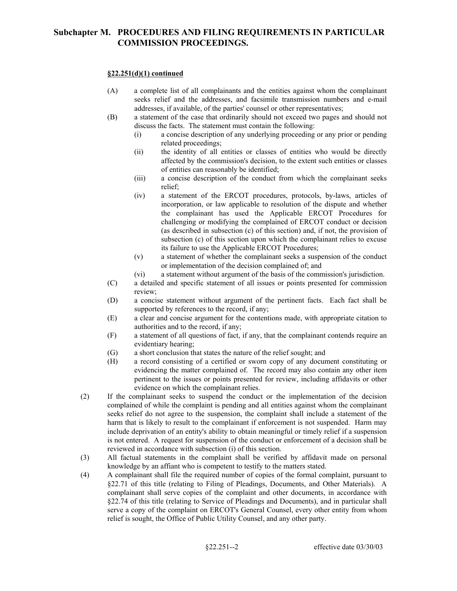### **§22.251(d)(1) continued**

- (A) a complete list of all complainants and the entities against whom the complainant seeks relief and the addresses, and facsimile transmission numbers and e-mail addresses, if available, of the parties' counsel or other representatives;
- (B) a statement of the case that ordinarily should not exceed two pages and should not discuss the facts. The statement must contain the following:
	- (i) a concise description of any underlying proceeding or any prior or pending related proceedings;
	- affected by the commission's decision, to the extent such entities or classes (ii) the identity of all entities or classes of entities who would be directly of entities can reasonably be identified;
	- (iii) a concise description of the conduct from which the complainant seeks relief;
	- (iv) a statement of the ERCOT procedures, protocols, by-laws, articles of incorporation, or law applicable to resolution of the dispute and whether the complainant has used the Applicable ERCOT Procedures for challenging or modifying the complained of ERCOT conduct or decision (as described in subsection (c) of this section) and, if not, the provision of subsection (c) of this section upon which the complainant relies to excuse its failure to use the Applicable ERCOT Procedures;
	- (v) a statement of whether the complainant seeks a suspension of the conduct or implementation of the decision complained of; and
	- (vi) a statement without argument of the basis of the commission's jurisdiction.
- (C) a detailed and specific statement of all issues or points presented for commission review;
- (D) a concise statement without argument of the pertinent facts. Each fact shall be supported by references to the record, if any;
- (E) a clear and concise argument for the contentions made, with appropriate citation to authorities and to the record, if any;
- (F) a statement of all questions of fact, if any, that the complainant contends require an evidentiary hearing;
- (G) a short conclusion that states the nature of the relief sought; and
- (H) a record consisting of a certified or sworn copy of any document constituting or evidencing the matter complained of. The record may also contain any other item pertinent to the issues or points presented for review, including affidavits or other evidence on which the complainant relies.
- (2) If the complainant seeks to suspend the conduct or the implementation of the decision is not entered. A request for suspension of the conduct or enforcement of a decision shall be complained of while the complaint is pending and all entities against whom the complainant seeks relief do not agree to the suspension, the complaint shall include a statement of the harm that is likely to result to the complainant if enforcement is not suspended. Harm may include deprivation of an entity's ability to obtain meaningful or timely relief if a suspension reviewed in accordance with subsection (i) of this section.
- (3) All factual statements in the complaint shall be verified by affidavit made on personal knowledge by an affiant who is competent to testify to the matters stated.
- (4) A complainant shall file the required number of copies of the formal complaint, pursuant to §22.71 of this title (relating to Filing of Pleadings, Documents, and Other Materials). A complainant shall serve copies of the complaint and other documents, in accordance with §22.74 of this title (relating to Service of Pleadings and Documents), and in particular shall serve a copy of the complaint on ERCOT's General Counsel, every other entity from whom relief is sought, the Office of Public Utility Counsel, and any other party.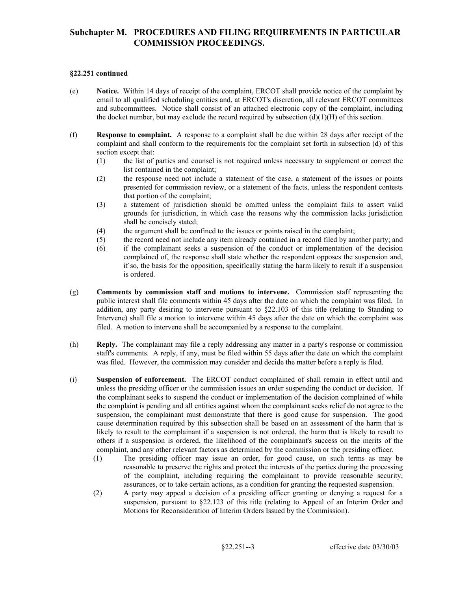### **§22.251 continued**

- (e) **Notice.** Within 14 days of receipt of the complaint, ERCOT shall provide notice of the complaint by email to all qualified scheduling entities and, at ERCOT's discretion, all relevant ERCOT committees and subcommittees. Notice shall consist of an attached electronic copy of the complaint, including the docket number, but may exclude the record required by subsection  $(d)(1)(H)$  of this section.
- (f) **Response to complaint.** A response to a complaint shall be due within 28 days after receipt of the complaint and shall conform to the requirements for the complaint set forth in subsection (d) of this section except that:
	- (1) the list of parties and counsel is not required unless necessary to supplement or correct the list contained in the complaint;
	- (2) the response need not include a statement of the case, a statement of the issues or points presented for commission review, or a statement of the facts, unless the respondent contests that portion of the complaint;
	- (3) a statement of jurisdiction should be omitted unless the complaint fails to assert valid grounds for jurisdiction, in which case the reasons why the commission lacks jurisdiction shall be concisely stated;
	- (4) the argument shall be confined to the issues or points raised in the complaint;
	- (5) the record need not include any item already contained in a record filed by another party; and
	- (6) if the complainant seeks a suspension of the conduct or implementation of the decision complained of, the response shall state whether the respondent opposes the suspension and, if so, the basis for the opposition, specifically stating the harm likely to result if a suspension is ordered.
- public interest shall file comments within 45 days after the date on which the complaint was filed. In (g) **Comments by commission staff and motions to intervene.** Commission staff representing the addition, any party desiring to intervene pursuant to §22.103 of this title (relating to Standing to Intervene) shall file a motion to intervene within 45 days after the date on which the complaint was filed. A motion to intervene shall be accompanied by a response to the complaint.
- (h) **Reply.** The complainant may file a reply addressing any matter in a party's response or commission staff's comments. A reply, if any, must be filed within 55 days after the date on which the complaint was filed. However, the commission may consider and decide the matter before a reply is filed.
- the complaint is pending and all entities against whom the complainant seeks relief do not agree to the likely to result to the complainant if a suspension is not ordered, the harm that is likely to result to (i) **Suspension of enforcement.** The ERCOT conduct complained of shall remain in effect until and unless the presiding officer or the commission issues an order suspending the conduct or decision. If the complainant seeks to suspend the conduct or implementation of the decision complained of while suspension, the complainant must demonstrate that there is good cause for suspension. The good cause determination required by this subsection shall be based on an assessment of the harm that is others if a suspension is ordered, the likelihood of the complainant's success on the merits of the complaint, and any other relevant factors as determined by the commission or the presiding officer.
	- (1) The presiding officer may issue an order, for good cause, on such terms as may be reasonable to preserve the rights and protect the interests of the parties during the processing of the complaint, including requiring the complainant to provide reasonable security, assurances, or to take certain actions, as a condition for granting the requested suspension.
	- (2) A party may appeal a decision of a presiding officer granting or denying a request for a suspension, pursuant to §22.123 of this title (relating to Appeal of an Interim Order and Motions for Reconsideration of Interim Orders Issued by the Commission).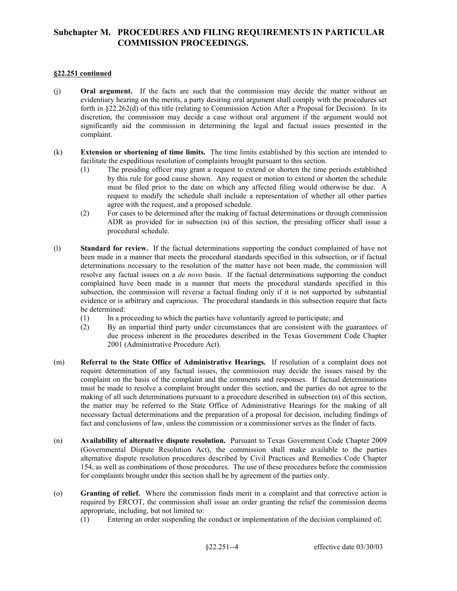#### **§22.251 continued**

- (j) **Oral argument.** If the facts are such that the commission may decide the matter without an evidentiary hearing on the merits, a party desiring oral argument shall comply with the procedures set forth in §22.262(d) of this title (relating to Commission Action After a Proposal for Decision). In its discretion, the commission may decide a case without oral argument if the argument would not significantly aid the commission in determining the legal and factual issues presented in the complaint.
- (k) **Extension or shortening of time limits.** The time limits established by this section are intended to facilitate the expeditious resolution of complaints brought pursuant to this section.
	- by this rule for good cause shown. Any request or motion to extend or shorten the schedule (1) The presiding officer may grant a request to extend or shorten the time periods established must be filed prior to the date on which any affected filing would otherwise be due. A request to modify the schedule shall include a representation of whether all other parties agree with the request, and a proposed schedule.
	- (2) For cases to be determined after the making of factual determinations or through commission ADR as provided for in subsection (n) of this section, the presiding officer shall issue a procedural schedule.
- (l) **Standard for review.** If the factual determinations supporting the conduct complained of have not been made in a manner that meets the procedural standards specified in this subsection, or if factual determinations necessary to the resolution of the matter have not been made, the commission will resolve any factual issues on a *de novo* basis. If the factual determinations supporting the conduct complained have been made in a manner that meets the procedural standards specified in this subsection, the commission will reverse a factual finding only if it is not supported by substantial evidence or is arbitrary and capricious. The procedural standards in this subsection require that facts be determined:
	- (1) In a proceeding to which the parties have voluntarily agreed to participate; and
	- (2) By an impartial third party under circumstances that are consistent with the guarantees of due process inherent in the procedures described in the Texas Government Code Chapter 2001 (Administrative Procedure Act).
- (m) **Referral to the State Office of Administrative Hearings.** If resolution of a complaint does not must be made to resolve a complaint brought under this section, and the parties do not agree to the require determination of any factual issues, the commission may decide the issues raised by the complaint on the basis of the complaint and the comments and responses. If factual determinations making of all such determinations pursuant to a procedure described in subsection (n) of this section, the matter may be referred to the State Office of Administrative Hearings for the making of all necessary factual determinations and the preparation of a proposal for decision, including findings of fact and conclusions of law, unless the commission or a commissioner serves as the finder of facts.
- (n) **Availability of alternative dispute resolution.** Pursuant to Texas Government Code Chapter 2009 (Governmental Dispute Resolution Act), the commission shall make available to the parties alternative dispute resolution procedures described by Civil Practices and Remedies Code Chapter 154, as well as combinations of those procedures. The use of these procedures before the commission for complaints brought under this section shall be by agreement of the parties only.
- (o) **Granting of relief.** Where the commission finds merit in a complaint and that corrective action is required by ERCOT, the commission shall issue an order granting the relief the commission deems appropriate, including, but not limited to:
	- (1) Entering an order suspending the conduct or implementation of the decision complained of;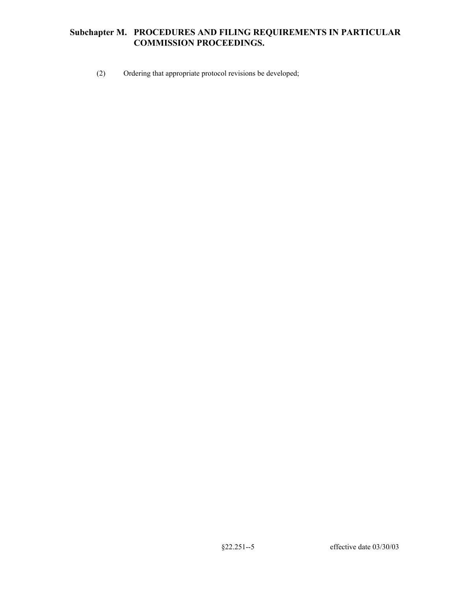(2) Ordering that appropriate protocol revisions be developed;